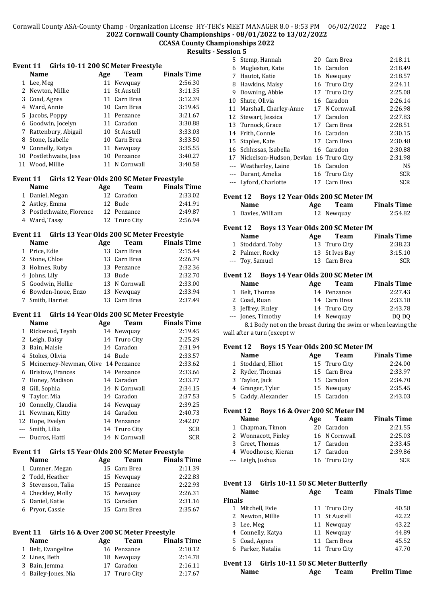# **CCASA County Championships 2022**

**Results - Session 5**

|  | Event 11 Girls 10-11 200 SC Meter Freestyle |
|--|---------------------------------------------|
|--|---------------------------------------------|

|    | <b>Name</b>         | Age | Team          | <b>Finals Time</b> |
|----|---------------------|-----|---------------|--------------------|
|    | 1 Lee, Meg          | 11  | Newquay       | 2:56.30            |
|    | 2 Newton, Millie    |     | 11 St Austell | 3:11.35            |
|    | 3 Coad, Agnes       |     | 11 Carn Brea  | 3:12.39            |
|    | 4 Ward, Annie       | 10  | Carn Brea     | 3:19.45            |
|    | 5 Jacobs, Poppy     |     | 11 Penzance   | 3:21.67            |
| 6  | Goodwin, Jocelyn    |     | 11 Caradon    | 3:30.88            |
|    | Rattenbury, Abigail |     | 10 St Austell | 3:33.03            |
| 8  | Stone, Isabelle     | 10  | Carn Brea     | 3:33.50            |
| 9  | Connelly, Katya     | 11  | Newquay       | 3:35.55            |
| 10 | Postlethwaite, Jess | 10  | Penzance      | 3:40.27            |
| 11 | Wood, Millie        | 11  | N Cornwall    | 3:40.58            |

#### **Event 11 Girls 12 Year Olds 200 SC Meter Freestyle**

| <b>Name</b>               | Age | Team          | <b>Finals Time</b> |
|---------------------------|-----|---------------|--------------------|
| 1 Daniel, Megan           |     | 12 Caradon    | 2:33.02            |
| 2 Astley, Emma            |     | 12 Bude       | 2:41.91            |
| 3 Postlethwaite, Florence |     | 12 Penzance   | 2:49.87            |
| 4 Ward, Tassy             |     | 12 Truro City | 2:56.94            |

#### **Event 11 Girls 13 Year Olds 200 SC Meter Freestyle**

| <b>Name</b> | Age                                                                                                                                 | Team | <b>Finals Time</b>                                                                                    |
|-------------|-------------------------------------------------------------------------------------------------------------------------------------|------|-------------------------------------------------------------------------------------------------------|
|             |                                                                                                                                     |      | 2:15.44                                                                                               |
|             |                                                                                                                                     |      | 2:26.79                                                                                               |
|             |                                                                                                                                     |      | 2:32.36                                                                                               |
|             |                                                                                                                                     |      | 2:32.70                                                                                               |
|             |                                                                                                                                     |      | 2:33.00                                                                                               |
|             |                                                                                                                                     |      | 2:33.94                                                                                               |
|             |                                                                                                                                     |      | 2:37.49                                                                                               |
|             | 1 Price, Edie<br>2 Stone, Chloe<br>3 Holmes, Ruby<br>4 Johns, Lily<br>5 Goodwin, Hollie<br>6 Bowden-Inoue, Enzo<br>7 Smith, Harriet |      | 13 Carn Brea<br>13 Carn Brea<br>13 Penzance<br>13 Bude<br>13 N Cornwall<br>13 Newquay<br>13 Carn Brea |

#### **Event 11 Girls 14 Year Olds 200 SC Meter Freestyle**

|    | <b>Name</b>                         | Age | <b>Team</b>   | <b>Finals Time</b> |
|----|-------------------------------------|-----|---------------|--------------------|
| 1  | Rickwood, Teyah                     |     | 14 Newquay    | 2:19.45            |
| 2  | Leigh, Daisy                        |     | 14 Truro City | 2:25.29            |
| 3  | Bain, Maisie                        |     | 14 Caradon    | 2:31.94            |
| 4  | Stokes, Olivia                      |     | 14 Bude       | 2:33.57            |
| 5. | Mcinerney-Newman, Olive 14 Penzance |     |               | 2:33.62            |
| 6  | Bristow, Frances                    |     | 14 Penzance   | 2:33.66            |
| 7  | Honey, Madison                      |     | 14 Caradon    | 2:33.77            |
| 8  | Gill, Sophia                        |     | 14 N Cornwall | 2:34.15            |
| 9  | Taylor, Mia                         |     | 14 Caradon    | 2:37.53            |
|    | 10 Connelly, Claudia                |     | 14 Newquay    | 2:39.25            |
| 11 | Newman, Kitty                       |     | 14 Caradon    | 2:40.73            |
|    | 12 Hope, Evelyn                     |     | 14 Penzance   | 2:42.07            |
|    | --- Smith, Lilia                    |     | 14 Truro City | <b>SCR</b>         |
|    | --- Ducros, Hatti                   |     | 14 N Cornwall | <b>SCR</b>         |

#### **Event 11 Girls 15 Year Olds 200 SC Meter Freestyle**

| <b>Name</b>        | Age | Team         | <b>Finals Time</b> |
|--------------------|-----|--------------|--------------------|
| 1 Cumner, Megan    |     | 15 Carn Brea | 2:11.39            |
| 2 Todd, Heather    |     | 15 Newquay   | 2:22.83            |
| 3 Stevenson, Talia |     | 15 Penzance  | 2:22.93            |
| 4 Checkley, Molly  |     | 15 Newquay   | 2:26.31            |
| 5 Daniel, Katie    |     | 15 Caradon   | 2:31.16            |
| 6 Pryor, Cassie    |     | 15 Carn Brea | 2:35.67            |

# **Event 11 Girls 16 & Over 200 SC Meter Freestyle**

| <b>Name</b>         | Age | Team          | <b>Finals Time</b> |
|---------------------|-----|---------------|--------------------|
| 1 Belt, Evangeline  |     | 16 Penzance   | 2:10.12            |
| 2 Lines, Beth       |     | 18 Newquay    | 2:14.78            |
| 3 Bain, Jemma       |     | 17 Caradon    | 2:16.11            |
| 4 Bailey-Jones, Nia |     | 17 Truro City | 2:17.67            |

|    |    | 5 Stemp, Hannah          |    | 20 Carn Brea  | 2:18.11    |
|----|----|--------------------------|----|---------------|------------|
|    | 6  | Mugleston, Kate          |    | 16 Caradon    | 2:18.49    |
|    | 7  | Hautot, Katie            |    | 16 Newquay    | 2:18.57    |
|    | 8  | Hawkins, Maisy           |    | 16 Truro City | 2:24.11    |
|    | 9  | Downing, Abbie           |    | 17 Truro City | 2:25.08    |
| 10 |    | Shute, Olivia            |    | 16 Caradon    | 2:26.14    |
|    | 11 | Marshall, Charley-Anne   |    | 17 N Cornwall | 2:26.98    |
|    |    | 12 Stewart, Jessica      |    | 17 Caradon    | 2:27.83    |
|    |    | 13 Turnock, Grace        |    | 17 Carn Brea  | 2:28.51    |
|    | 14 | Frith, Connie            |    | 16 Caradon    | 2:30.15    |
|    | 15 | Staples, Kate            |    | 17 Carn Brea  | 2:30.48    |
|    |    | 16 Schlussas, Isabella   |    | 16 Caradon    | 2:30.88    |
|    | 17 | Nickelson-Hudson, Devlan |    | 16 Truro City | 2:31.98    |
|    |    | --- Weatherley, Laine    |    | 16 Caradon    | <b>NS</b>  |
|    |    | --- Durant, Amelia       |    | 16 Truro City | <b>SCR</b> |
|    |    | --- Lyford, Charlotte    | 17 | Carn Brea     | <b>SCR</b> |
|    |    |                          |    |               |            |

# **Event 12 Boys 12 Year Olds 200 SC Meter IM**

| <b>Name</b>       | Age | Team       | <b>Finals Time</b> |
|-------------------|-----|------------|--------------------|
| 1 Davies, William |     | 12 Newquay | 2:54.82            |

# **Event 12 Boys 13 Year Olds 200 SC Meter IM**

| <b>Name</b>      | Age | Team           | <b>Finals Time</b> |
|------------------|-----|----------------|--------------------|
| 1 Stoddard, Toby |     | 13 Truro City  | 2:38.23            |
| 2 Palmer, Rocky  |     | 13 St Ives Bay | 3:15.10            |
| --- Toy, Samuel  |     | 13 Carn Brea   | <b>SCR</b>         |

# **Event 12 Boys 14 Year Olds 200 SC Meter IM**

| <b>Name</b>        | Age | <b>Team</b>   | <b>Finals Time</b> |
|--------------------|-----|---------------|--------------------|
| 1 Belt, Thomas     |     | 14 Penzance   | 2:27.43            |
| 2 Coad, Ruan       |     | 14 Carn Brea  | 2:33.18            |
| 3 Jeffrey, Finley  |     | 14 Truro City | 2:43.78            |
| --- Jones, Timothy |     | 14 Newquay    | DO DO              |
|                    |     |               |                    |

8.1 Body not on the breast during the swim or when leaving the wall after a turn (except w

# **Event 12 Boys 15 Year Olds 200 SC Meter IM**

| $\mathbf{r}$ and the contract of $\mathbf{r}$ and $\mathbf{r}$ and $\mathbf{r}$ and $\mathbf{r}$ and $\mathbf{r}$ |     |               |                    |
|-------------------------------------------------------------------------------------------------------------------|-----|---------------|--------------------|
| <b>Name</b>                                                                                                       | Age | Team          | <b>Finals Time</b> |
| 1 Stoddard, Elliot                                                                                                |     | 15 Truro City | 2:24.00            |
| 2 Ryder, Thomas                                                                                                   |     | 15 Carn Brea  | 2:33.97            |
| 3 Taylor, Jack                                                                                                    |     | 15 Caradon    | 2:34.70            |
| 4 Granger, Tyler                                                                                                  |     | 15 Newquay    | 2:35.45            |
| 5 Caddy, Alexander                                                                                                |     | 15 Caradon    | 2:43.03            |
|                                                                                                                   |     |               |                    |

# **Event 12 Boys 16 & Over 200 SC Meter IM**

| <b>Name</b> |                                                                                                        | Team | <b>Finals Time</b>                                                              |
|-------------|--------------------------------------------------------------------------------------------------------|------|---------------------------------------------------------------------------------|
|             |                                                                                                        |      | 2:21.55                                                                         |
|             |                                                                                                        |      | 2:25.03                                                                         |
|             |                                                                                                        |      | 2:33.45                                                                         |
|             |                                                                                                        |      | 2:39.86                                                                         |
|             |                                                                                                        |      | <b>SCR</b>                                                                      |
|             | 1 Chapman, Timon<br>2 Wonnacott, Finley<br>3 Greet, Thomas<br>4 Woodhouse, Kieran<br>--- Leigh, Joshua |      | Age<br>20 Caradon<br>16 N Cornwall<br>17 Caradon<br>17 Caradon<br>16 Truro City |

# **Event 13 Girls 10-11 50 SC Meter Butterfly**

| Name          |                   | Age | <b>Team</b>   | <b>Finals Time</b> |
|---------------|-------------------|-----|---------------|--------------------|
| <b>Finals</b> |                   |     |               |                    |
| 1             | Mitchell, Evie    |     | 11 Truro City | 40.58              |
|               | 2 Newton, Millie  |     | 11 St Austell | 42.22              |
|               | 3 Lee, Meg        |     | 11 Newquay    | 43.22              |
|               | 4 Connelly, Katya |     | 11 Newquay    | 44.89              |
|               | 5 Coad, Agnes     |     | 11 Carn Brea  | 45.52              |
|               | 6 Parker, Natalia |     | 11 Truro City | 47.70              |
|               |                   |     |               |                    |

# **Event 13 Girls 10-11 50 SC Meter Butterfly**

| <b>Name</b> | Age | Team | <b>Prelim Time</b> |
|-------------|-----|------|--------------------|
|-------------|-----|------|--------------------|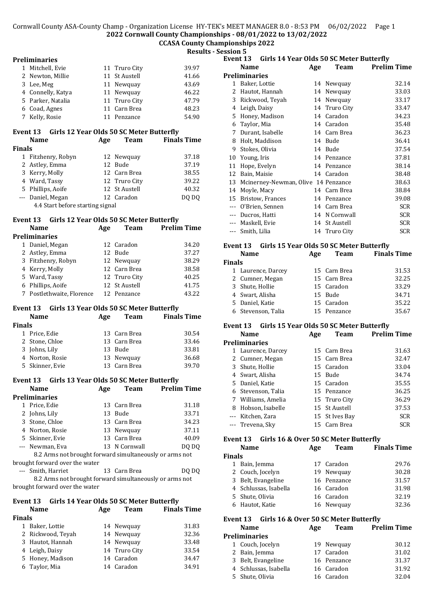# **CCASA County Championships 2022**

**Results - Session 5**

#### **Preliminaries**

| 1 Mitchell, Evie  | 11 Truro City | 39.97 |
|-------------------|---------------|-------|
| 2 Newton, Millie  | 11 St Austell | 41.66 |
| 3 Lee, Meg        | 11 Newquay    | 43.69 |
| 4 Connelly, Katya | 11 Newquay    | 46.22 |
| 5 Parker, Natalia | 11 Truro City | 47.79 |
| 6 Coad, Agnes     | 11 Carn Brea  | 48.23 |
| 7 Kelly, Rosie    | 11 Penzance   | 54.90 |

#### **Event 13 Girls 12 Year Olds 50 SC Meter Butterfly**

|                                  | <b>Name</b>        |  | <b>Team</b>   | <b>Finals Time</b> |  |
|----------------------------------|--------------------|--|---------------|--------------------|--|
| <b>Finals</b>                    |                    |  |               |                    |  |
|                                  | 1 Fitzhenry, Robyn |  | 12 Newquay    | 37.18              |  |
|                                  | 2 Astley, Emma     |  | 12 Bude       | 37.19              |  |
|                                  | 3 Kerry, Molly     |  | 12 Carn Brea  | 38.55              |  |
|                                  | 4 Ward, Tassy      |  | 12 Truro City | 39.22              |  |
|                                  | 5 Phillips, Aoife  |  | 12 St Austell | 40.32              |  |
|                                  | --- Daniel, Megan  |  | 12 Caradon    | DO DO              |  |
| 4.4 Start before starting signal |                    |  |               |                    |  |

#### **Event 13 Girls 12 Year Olds 50 SC Meter Butterfly**

| <b>Name</b> |                           | Age | <b>Team</b>   | <b>Prelim Time</b> |
|-------------|---------------------------|-----|---------------|--------------------|
|             | Preliminaries             |     |               |                    |
|             | 1 Daniel, Megan           |     | 12 Caradon    | 34.20              |
|             | 2 Astley, Emma            |     | 12 Bude       | 37.27              |
|             | 3 Fitzhenry, Robyn        |     | 12 Newquay    | 38.29              |
|             | 4 Kerry, Molly            |     | 12 Carn Brea  | 38.58              |
|             | 5 Ward, Tassy             |     | 12 Truro City | 40.25              |
|             | 6 Phillips, Aoife         |     | 12 St Austell | 41.75              |
|             | 7 Postlethwaite, Florence |     | 12 Penzance   | 43.22              |

#### **Event 13 Girls 13 Year Olds 50 SC Meter Butterfly**

|               | <b>Name</b>     | Age | <b>Team</b>  | <b>Finals Time</b> |
|---------------|-----------------|-----|--------------|--------------------|
| <b>Finals</b> |                 |     |              |                    |
|               | 1 Price, Edie   |     | 13 Carn Brea | 30.54              |
|               | 2 Stone, Chloe  |     | 13 Carn Brea | 33.46              |
|               | 3 Johns, Lily   |     | 13 Bude      | 33.81              |
|               | 4 Norton, Rosie |     | 13 Newquay   | 36.68              |
|               | 5 Skinner, Evie |     | 13 Carn Brea | 39.70              |
|               |                 |     |              |                    |

# **Event 13 Girls 13 Year Olds 50 SC Meter Butterfly**

|                                                         | <b>Name</b>                    |  | <b>Team</b>   | <b>Prelim Time</b> |
|---------------------------------------------------------|--------------------------------|--|---------------|--------------------|
|                                                         | <b>Preliminaries</b>           |  |               |                    |
|                                                         | 1 Price, Edie                  |  | 13 Carn Brea  | 31.18              |
|                                                         | 2 Johns, Lily                  |  | 13 Bude       | 33.71              |
|                                                         | 3 Stone, Chloe                 |  | 13 Carn Brea  | 34.23              |
|                                                         | 4 Norton, Rosie                |  | 13 Newquay    | 37.11              |
|                                                         | 5 Skinner, Evie                |  | 13 Carn Brea  | 40.09              |
|                                                         | --- Newman, Eva                |  | 13 N Cornwall | DQ DO              |
| 8.2 Arms not brought forward simultaneously or arms not |                                |  |               |                    |
|                                                         | brought forward over the water |  |               |                    |

--- Smith, Harriet 13 Carn Brea DQ DQ 8.2 Arms not brought forward simultaneously or arms not

brought forward over the water

#### **Event 13 Girls 14 Year Olds 50 SC Meter Butterfly Name Age Team Finals Time**

| <b>Finals</b> |                   |               |       |
|---------------|-------------------|---------------|-------|
|               | 1 Baker, Lottie   | 14 Newquay    | 31.83 |
|               | 2 Rickwood, Teyah | 14 Newquay    | 32.36 |
|               | 3 Hautot, Hannah  | 14 Newquay    | 33.48 |
|               | 4 Leigh, Daisy    | 14 Truro City | 33.54 |
|               | 5 Honey, Madison  | 14 Caradon    | 34.47 |
|               | 6 Taylor, Mia     | 14 Caradon    | 34.91 |
|               |                   |               |       |

| ט ווטונכ       | Event 13             | Girls 14 Year Olds 50 SC Meter Butterfly |     |               |                    |
|----------------|----------------------|------------------------------------------|-----|---------------|--------------------|
|                | <b>Name</b>          |                                          | Age | Team          | <b>Prelim Time</b> |
|                | <b>Preliminaries</b> |                                          |     |               |                    |
| 1              | Baker, Lottie        |                                          | 14  | Newquay       | 32.14              |
| 2              |                      | Hautot, Hannah                           | 14  | Newquay       | 33.03              |
| 3              |                      | Rickwood, Teyah                          | 14  | Newquay       | 33.17              |
| 4              | Leigh, Daisy         |                                          |     | 14 Truro City | 33.47              |
| 5              |                      | Honey, Madison                           | 14  | Caradon       | 34.23              |
| 6              | Taylor, Mia          |                                          |     | 14 Caradon    | 35.48              |
| 7              |                      | Durant, Isabelle                         | 14  | Carn Brea     | 36.23              |
| 8              |                      | Holt, Maddison                           | 14  | Bude          | 36.41              |
| 9              |                      | Stokes, Olivia                           | 14  | Bude          | 37.54              |
| 10             | Young, Iris          |                                          | 14  | Penzance      | 37.81              |
| 11             |                      | Hope, Evelyn                             |     | 14 Penzance   | 38.14              |
| 12             | Bain, Maisie         |                                          |     | 14 Caradon    | 38.48              |
| 13             |                      | Mcinerney-Newman, Olive 14 Penzance      |     |               | 38.63              |
| 14             | Moyle, Macy          |                                          |     | 14 Carn Brea  | 38.84              |
| 15             |                      | Bristow, Frances                         | 14  | Penzance      | 39.08              |
| $---$          |                      | O'Brien, Sennen                          | 14  | Carn Brea     | <b>SCR</b>         |
| $\overline{a}$ |                      | Ducros, Hatti                            | 14  | N Cornwall    | <b>SCR</b>         |
| $---$          | Maskell, Evie        |                                          |     | 14 St Austell | <b>SCR</b>         |
| $\overline{a}$ | Smith, Lilia         |                                          |     | 14 Truro City | <b>SCR</b>         |
|                |                      |                                          |     |               |                    |

#### **Event 13 Girls 15 Year Olds 50 SC Meter Butterfly**

| Name          |                    | Age | <b>Team</b>  | <b>Finals Time</b> |
|---------------|--------------------|-----|--------------|--------------------|
| <b>Finals</b> |                    |     |              |                    |
|               | 1 Laurence, Darcey |     | 15 Carn Brea | 31.53              |
|               | 2 Cumner, Megan    |     | 15 Carn Brea | 32.25              |
|               | 3 Shute, Hollie    |     | 15 Caradon   | 33.29              |
|               | 4 Swart, Alisha    |     | 15 Bude      | 34.71              |
|               | 5 Daniel, Katie    |     | 15 Caradon   | 35.22              |
|               | 6 Stevenson, Talia |     | 15 Penzance  | 35.67              |

#### **Event 13 Girls 15 Year Olds 50 SC Meter Butterfly**

|   | <b>Name</b>          | Age | Team           | <b>Prelim Time</b> |
|---|----------------------|-----|----------------|--------------------|
|   | <b>Preliminaries</b> |     |                |                    |
| 1 | Laurence, Darcey     |     | 15 Carn Brea   | 31.63              |
|   | 2 Cumner, Megan      |     | 15 Carn Brea   | 32.47              |
|   | 3 Shute, Hollie      |     | 15 Caradon     | 33.04              |
|   | 4 Swart, Alisha      |     | 15 Bude        | 34.74              |
|   | 5 Daniel, Katie      |     | 15 Caradon     | 35.55              |
|   | 6 Stevenson, Talia   |     | 15 Penzance    | 36.25              |
|   | 7 Williams, Amelia   |     | 15 Truro City  | 36.29              |
| 8 | Hobson, Isabelle     |     | 15 St Austell  | 37.53              |
|   | --- Kitchen, Zara    |     | 15 St Ives Bay | <b>SCR</b>         |
|   | --- Trevena, Sky     |     | 15 Carn Brea   | <b>SCR</b>         |
|   |                      |     |                |                    |

#### **Event 13 Girls 16 & Over 50 SC Meter Butterfly**

|               | <b>Name</b>           | Age | <b>Team</b> | <b>Finals Time</b> |
|---------------|-----------------------|-----|-------------|--------------------|
| <b>Finals</b> |                       |     |             |                    |
| 1             | Bain, Jemma           |     | 17 Caradon  | 29.76              |
|               | 2 Couch, Jocelyn      |     | 19 Newquay  | 30.28              |
|               | 3 Belt, Evangeline    |     | 16 Penzance | 31.57              |
|               | 4 Schlussas, Isabella |     | 16 Caradon  | 31.98              |
|               | 5 Shute, Olivia       |     | 16 Caradon  | 32.19              |
|               | 6 Hautot, Katie       |     | 16 Newquay  | 32.36              |
|               |                       |     |             |                    |

#### **Event 13 Girls 16 & Over 50 SC Meter Butterfly**

| <b>Name</b>           | Age | <b>Team</b> | <b>Prelim Time</b> |
|-----------------------|-----|-------------|--------------------|
| <b>Preliminaries</b>  |     |             |                    |
| 1 Couch, Jocelyn      |     | 19 Newquay  | 30.12              |
| 2 Bain, Jemma         |     | 17 Caradon  | 31.02              |
| 3 Belt, Evangeline    |     | 16 Penzance | 31.37              |
| 4 Schlussas, Isabella |     | 16 Caradon  | 31.92              |
| 5 Shute, Olivia       |     | 16 Caradon  | 32.04              |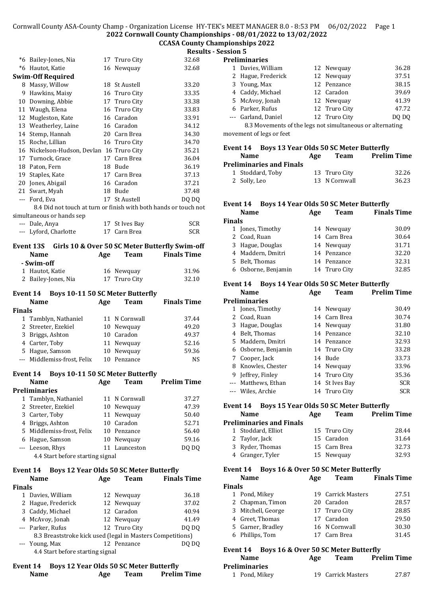#### **CCASA County Championships 2022**

**Results - Session 5**

# \*6 Bailey-Jones, Nia 17 Truro City 32.68

| $*6$           | Hautot, Katie                                                    |     | 16 Newquay                                     | 32.68              |
|----------------|------------------------------------------------------------------|-----|------------------------------------------------|--------------------|
|                | <b>Swim-Off Required</b>                                         |     |                                                |                    |
| 8              | Massy, Willow                                                    |     | 18 St Austell                                  | 33.20              |
| 9              | Hawkins, Maisy                                                   |     | 16 Truro City                                  | 33.35              |
| 10             | Downing, Abbie                                                   | 17  | Truro City                                     | 33.38              |
| 11             | Waugh, Elena                                                     |     | 16 Truro City                                  | 33.83              |
| 12             | Mugleston, Kate                                                  |     | 16 Caradon                                     | 33.91              |
| 13             | Weatherley, Laine                                                |     | 16 Caradon                                     | 34.12              |
| 14             | Stemp, Hannah                                                    |     | 20 Carn Brea                                   | 34.30              |
| 15             | Roche, Lillian                                                   |     | 16 Truro City                                  | 34.70              |
| 16             | Nickelson-Hudson, Devlan 16 Truro City                           |     |                                                | 35.21              |
|                | 17 Turnock, Grace                                                | 17  | Carn Brea                                      | 36.04              |
| 18             | Paton, Fern                                                      | 18  | Bude                                           | 36.19              |
| 19             | Staples, Kate                                                    | 17  | Carn Brea                                      | 37.13              |
| 20             | Jones, Abigail                                                   | 16  | Caradon                                        | 37.21              |
| 21             | Swart, Myah                                                      | 18  | Bude                                           | 37.48              |
| $\overline{a}$ | Ford, Eva                                                        | 17  | St Austell                                     | DO DO              |
|                | 8.4 Did not touch at turn or finish with both hands or touch not |     |                                                |                    |
|                | simultaneous or hands sep                                        |     |                                                |                    |
|                | --- Dale, Anya                                                   | 17  | St Ives Bay                                    | <b>SCR</b>         |
|                | --- Lyford, Charlotte                                            | 17  | Carn Brea                                      | <b>SCR</b>         |
|                | Event 13S                                                        |     | Girls 10 & Over 50 SC Meter Butterfly Swim-off |                    |
|                | Name                                                             | Age | <b>Team</b>                                    | <b>Finals Time</b> |
|                | - Swim-off                                                       |     |                                                |                    |
| $\mathbf{1}$   | Hautot, Katie                                                    |     | 16 Newquay                                     | 31.96              |
| 2              | Bailey-Jones, Nia                                                | 17  | Truro City                                     | 32.10              |

#### **Event 14 Boys 10-11 50 SC Meter Butterfly**

|               | <b>Name</b>                 | Age | <b>Team</b>   | <b>Finals Time</b> |
|---------------|-----------------------------|-----|---------------|--------------------|
| <b>Finals</b> |                             |     |               |                    |
|               | 1 Tamblyn, Nathaniel        |     | 11 N Cornwall | 37.44              |
|               | 2 Streeter, Ezekiel         |     | 10 Newquay    | 49.20              |
|               | 3 Briggs, Ashton            |     | 10 Caradon    | 49.37              |
|               | 4 Carter, Toby              |     | 11 Newquay    | 52.16              |
|               | 5 Hague, Samson             |     | 10 Newquay    | 59.36              |
|               | --- Middlemiss-frost, Felix |     | Penzance      | <b>NS</b>          |

#### **Event 14 Boys 10-11 50 SC Meter Butterfly**

|                                  | Name                      | Age | <b>Team</b>   | <b>Prelim Time</b> |  |
|----------------------------------|---------------------------|-----|---------------|--------------------|--|
|                                  | <b>Preliminaries</b>      |     |               |                    |  |
|                                  | 1 Tamblyn, Nathaniel      |     | 11 N Cornwall | 37.27              |  |
|                                  | 2 Streeter, Ezekiel       |     | 10 Newquay    | 47.39              |  |
|                                  | 3 Carter, Toby            |     | 11 Newquay    | 50.40              |  |
|                                  | 4 Briggs, Ashton          |     | 10 Caradon    | 52.71              |  |
|                                  | 5 Middlemiss-frost, Felix |     | 10 Penzance   | 56.40              |  |
|                                  | 6 Hague, Samson           |     | 10 Newquay    | 59.16              |  |
|                                  | --- Leeson, Rhys          |     | 11 Launceston | DO DO              |  |
| 4.4 Start before starting signal |                           |     |               |                    |  |

#### **Event 14 Boys 12 Year Olds 50 SC Meter Butterfly**

|               | <b>Name</b>                                                | Age | <b>Team</b>   | <b>Finals Time</b> |
|---------------|------------------------------------------------------------|-----|---------------|--------------------|
| <b>Finals</b> |                                                            |     |               |                    |
|               | 1 Davies, William                                          |     | 12 Newquay    | 36.18              |
|               | 2 Hague, Frederick                                         |     | 12 Newquay    | 37.02              |
|               | 3 Caddy, Michael                                           |     | 12 Caradon    | 40.94              |
|               | 4 McAvoy, Jonah                                            |     | 12 Newquay    | 41.49              |
|               | --- Parker, Rufus                                          |     | 12 Truro City | DQ DQ              |
|               | 8.3 Breaststroke kick used (legal in Masters Competitions) |     |               |                    |
|               | --- Young, Max                                             |     | 12 Penzance   | DO                 |
|               | 4.4 Start before starting signal                           |     |               |                    |

#### **Event 14 Boys 12 Year Olds 50 SC Meter Butterfly Name Age Team Prelim Time**

| <b>Preliminaries</b>                                          |               |       |
|---------------------------------------------------------------|---------------|-------|
| 1 Davies, William                                             | 12 Newquay    | 36.28 |
| 2 Hague, Frederick                                            | 12 Newquay    | 37.51 |
| 3 Young, Max                                                  | 12 Penzance   | 38.15 |
| 4 Caddy, Michael                                              | 12 Caradon    | 39.69 |
| 5 McAvoy, Jonah                                               | 12 Newquay    | 41.39 |
| 6 Parker, Rufus                                               | 12 Truro City | 47.72 |
| --- Garland, Daniel                                           | 12 Truro City | DO DO |
| $0.2$ Mercus ante ef the lega not simultaneous an elternative |               |       |

8.3 Movements of the legs not simultaneous or alternating movement of legs or feet

#### **Event 14 Boys 13 Year Olds 50 SC Meter Butterfly Name Age Team Prelim Time Preliminaries and Finals** 1 Stoddard, Toby 13 Truro City 32.26 2 Solly, Leo 13 N Cornwall 36.23

#### **Event 14 Boys 14 Year Olds 50 SC Meter Butterfly**

| <b>Name</b>         | Age | <b>Team</b>   | <b>Finals Time</b> |
|---------------------|-----|---------------|--------------------|
| <b>Finals</b>       |     |               |                    |
| 1 Jones, Timothy    |     | 14 Newquay    | 30.09              |
| 2 Coad, Ruan        |     | 14 Carn Brea  | 30.64              |
| 3 Hague, Douglas    |     | 14 Newquay    | 31.71              |
| 4 Maddern, Dmitri   |     | 14 Penzance   | 32.20              |
| 5 Belt, Thomas      |     | 14 Penzance   | 32.31              |
| 6 Osborne, Benjamin |     | 14 Truro City | 32.85              |
|                     |     |               |                    |

#### **Event 14 Boys 14 Year Olds 50 SC Meter Butterfly**

|    | Name                 | Age | Team           | <b>Prelim Time</b> |
|----|----------------------|-----|----------------|--------------------|
|    | <b>Preliminaries</b> |     |                |                    |
| 1  | Jones, Timothy       |     | 14 Newquay     | 30.49              |
|    | 2 Coad, Ruan         |     | 14 Carn Brea   | 30.74              |
| 3  | Hague, Douglas       |     | 14 Newquay     | 31.80              |
| 4  | Belt, Thomas         |     | 14 Penzance    | 32.10              |
| 5. | Maddern, Dmitri      |     | 14 Penzance    | 32.93              |
| 6  | Osborne, Benjamin    |     | 14 Truro City  | 33.28              |
| 7  | Cooper, Jack         |     | 14 Bude        | 33.73              |
| 8  | Knowles, Chester     |     | 14 Newquay     | 33.96              |
| 9  | Jeffrey, Finley      |     | 14 Truro City  | 35.36              |
|    | Matthews, Ethan      |     | 14 St Ives Bay | <b>SCR</b>         |
|    | Wiles, Archie        |     | 14 Truro City  | <b>SCR</b>         |
|    |                      |     |                |                    |

| Event 14 Boys 15 Year Olds 50 SC Meter Butterfly |     |      |                    |
|--------------------------------------------------|-----|------|--------------------|
| <b>Name</b>                                      | Age | Team | <b>Prelim Time</b> |
| <b>Preliminaries and Finals</b>                  |     |      |                    |

| 'eliminaries and Finals |               |       |
|-------------------------|---------------|-------|
| 1 Stoddard, Elliot      | 15 Truro City | 28.44 |
| 2 Taylor, Jack          | 15 Caradon    | 31.64 |
| 3 Ryder, Thomas         | 15 Carn Brea  | 32.73 |
| 4 Granger, Tyler        | 15 Newquay    | 32.93 |

#### **Event 14 Boys 16 & Over 50 SC Meter Butterfly**

|               | <b>Name</b>        | Age | Team               | <b>Finals Time</b> |
|---------------|--------------------|-----|--------------------|--------------------|
| <b>Finals</b> |                    |     |                    |                    |
|               | 1 Pond, Mikey      |     | 19 Carrick Masters | 27.51              |
|               | 2 Chapman, Timon   |     | 20 Caradon         | 28.57              |
|               | 3 Mitchell, George |     | 17 Truro City      | 28.85              |
|               | 4 Greet, Thomas    |     | 17 Caradon         | 29.50              |
|               | 5 Garner, Bradley  |     | 16 N Cornwall      | 30.30              |
|               | 6 Phillips, Tom    |     | 17 Carn Brea       | 31.45              |
|               |                    |     |                    |                    |

#### **Event 14 Boys 16 & Over 50 SC Meter Butterfly**

| <b>Name</b>          | Age | <b>Team</b>        | <b>Prelim Time</b> |
|----------------------|-----|--------------------|--------------------|
| <b>Preliminaries</b> |     |                    |                    |
| 1 Pond, Mikey        |     | 19 Carrick Masters | 27.87              |